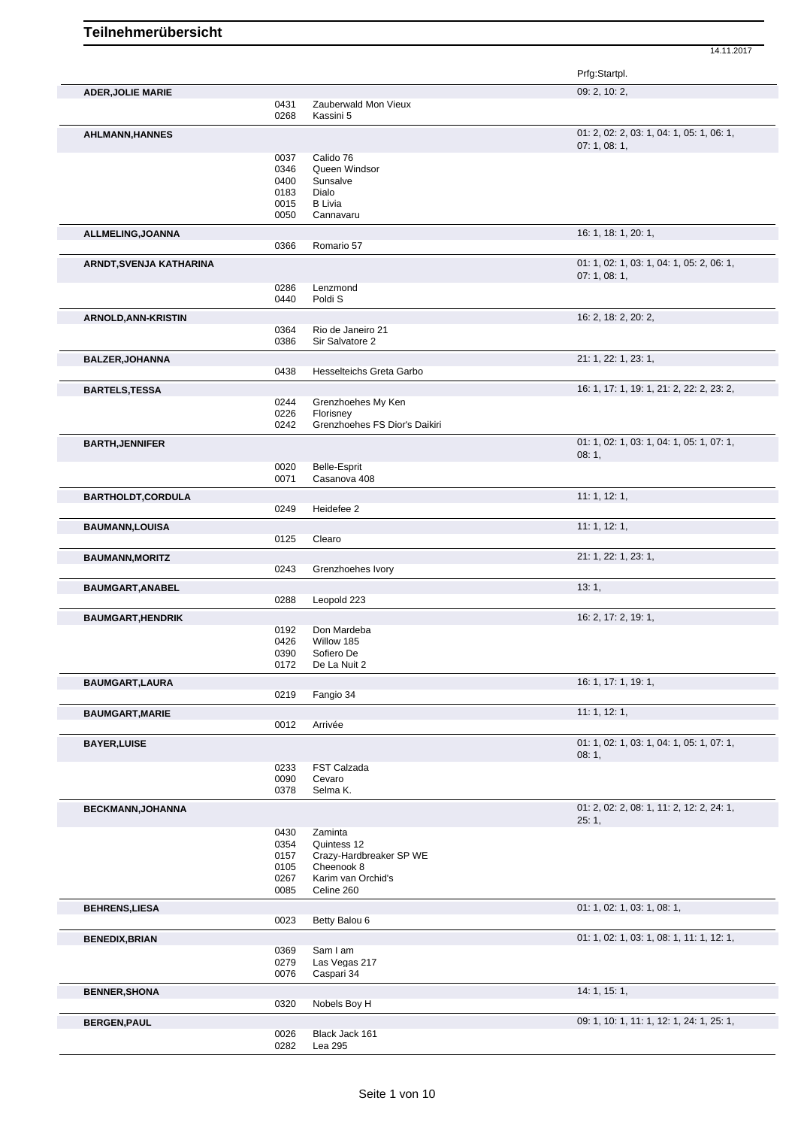Prfg:Startpl. **ADER,JOLIE MARIE** 09: 2, 10: 2, 0431 Zauberwald Mon Vieux 0268 Kassini 5 **AHLMANN,HANNES** 01: 2, 02: 2, 03: 1, 04: 1, 05: 1, 06: 1, 07: 1, 08: 1, 0037 Calido 76<br>0346 Queen Wi 0346 Queen Windsor<br>0400 Sunsalve 0400 Sunsalve<br>0183 Dialo Dialo 0015 B Livia<br>0050 Cannay Cannavaru **ALLMELING,JOANNA** 16: 1, 20: 1, 20: 1, 20: 1, 20: 1, 20: 1, 20: 1, 20: 1, 20: 1, 20: 1, 20: 1, 20: 1, 20: 1, 20: 1, 20: 1, 20: 1, 20: 1, 20: 1, 20: 1, 20: 1, 20: 1, 20: 1, 20: 1, 20: 1, 20: 1, 20: 1, 20: 1, 20: 1, 20: 1, 0366 Romario 57 **ARNDT,SVENJA KATHARINA** 01: 1, 02: 1, 03: 1, 04: 1, 05: 2, 06: 1, 07: 1, 08: 1, 0286 Lenzmond 0440 Poldi S **ARNOLD,ANN-KRISTIN** 16: 2, 18: 2, 20: 2, 0364 Rio de Janeiro 21<br>0386 Sir Salvatore 2 Sir Salvatore 2 **BALZER,JOHANNA** 21: 1, 22: 1, 23: 1, Hesselteichs Greta Garbo **BARTELS,TESSA** 16: 1, 17: 1, 19: 1, 21: 2, 22: 2, 23: 2, 0244 Grenzhoehes My Ken<br>0226 Florisney 0226 Florisney<br>0242 Grenzhoe Grenzhoehes FS Dior's Daikiri **BARTH,JENNIFER** 01: 1, 02: 1, 03: 1, 04: 1, 05: 1, 07: 1, 08: 1, 0020 Belle-Esprit<br>0071 Casanova 4 Casanova 408 **BARTHOLDT, CORDULA** 11: 1, 12: 1, 0249 Heidefee 2 **BAUMANN,LOUISA** 11: 1, 12: 1, 0125 Clearo **BAUMANN,MORITZ** 21: 1, 22: 1, 23: 1, 0243 Grenzhoehes Ivory **BAUMGART,ANABEL** 13: 1, 288 **Leopold** 223 Leopold 223 **BAUMGART,HENDRIK 16: 2, 17: 2, 19: 1, 2, 19: 1, 2, 19: 1, 2, 19: 1, 2, 19: 1, 2, 19: 1, 2, 19: 1, 2, 19: 1, 2, 19: 1, 2, 19: 1, 2, 19: 1, 2, 19: 1, 2, 19: 1, 2, 19: 1, 2, 19: 1, 2, 19: 1, 2, 19: 1, 2, 19: 1, 2, 19: 1, 2,** 0192 Don Mardeba<br>0426 Willow 185 Willow 185 0390 Sofiero De 0172 De La Nuit 2 **BAUMGART,LAURA** 16: 1, 17: 1, 19: 1, 19: 1, 19: 1, 19: 1, 19: 1, 19: 1, 19: 1, 19: 1, 19: 1, 19: 1, 19: 1, 19: 1, 19: 1, 19: 1, 19: 1, 19: 1, 19: 1, 19: 1, 19: 1, 19: 1, 19: 1, 19: 1, 19: 1, 19: 1, 19: 1, 19: 1, 19: 1, 19 0219 Fangio 34 **BAUMGART, MARIE 11: 1, 12: 1, 12: 1, 12: 1, 12: 1, 12: 1, 12: 1, 12: 1, 12: 1, 12: 1, 12: 1, 12: 1, 12: 1, 12: 1, 12: 1, 12: 1, 12: 1, 12: 1, 12: 1, 12: 1, 12: 1, 12: 1, 12: 1, 12: 1, 12: 1, 12: 1, 12: 1, 12: 1, 12: 1, 12** 0012 Arrivée **BAYER,LUISE** 01: 1, 02: 1, 03: 1, 04: 1, 05: 1, 07: 1, 08: 1, 0233 FST Calzada<br>0090 Cevaro 0090 Cevaro<br>0378 Selma l Selma K. **BECKMANN,JOHANNA 01: 2, 02: 2, 08: 1, 11: 2, 12: 2, 24: 1,** 25: 1, 0430 Zaminta 0354 Quintess 12 0157 Crazy-Hardbreaker SP WE 0105 Cheenook 8 0267 Karim van Orchid's<br>0085 Celine 260 Celine 260 **BEHRENS,LIESA** 01: 1, 02: 1, 03: 1, 03: 1, 03: 1, 03: 1, 03: 1, 03: 1, 03: 1, 03: 1, 03: 1, 03: 1, 03: 1, 05: 1, 05: 1, 05: 1, 05: 1, 05: 1, 05: 1, 05: 1, 05: 1, 05: 1, 05: 1, 05: 1, 05: 1, 05: 1, 05: 1, 05: 1, 05: 1, 05: 0023 Betty Balou 6 **BENEDIX,BRIAN** 0369 Sam I am 0369 Sam I am 0369 Computer of the contract of the contract of the contract of the contract of the contract of the contract of the contract of the contract of the contract of the contract of t 0369 Sam I am<br>0279 Las Vegas 0279 Las Vegas 217<br>0076 Caspari 34 Caspari 34 **BENNER,SHONA** 14: 1, 15: 1, Nobels Boy H **BERGEN,PAUL** 09: 1, 10: 1, 11: 1, 12: 1, 24: 1, 25: 1, 0026 Black Jack 161 0026 Black Jack 161<br>0282 Lea 295 Lea 295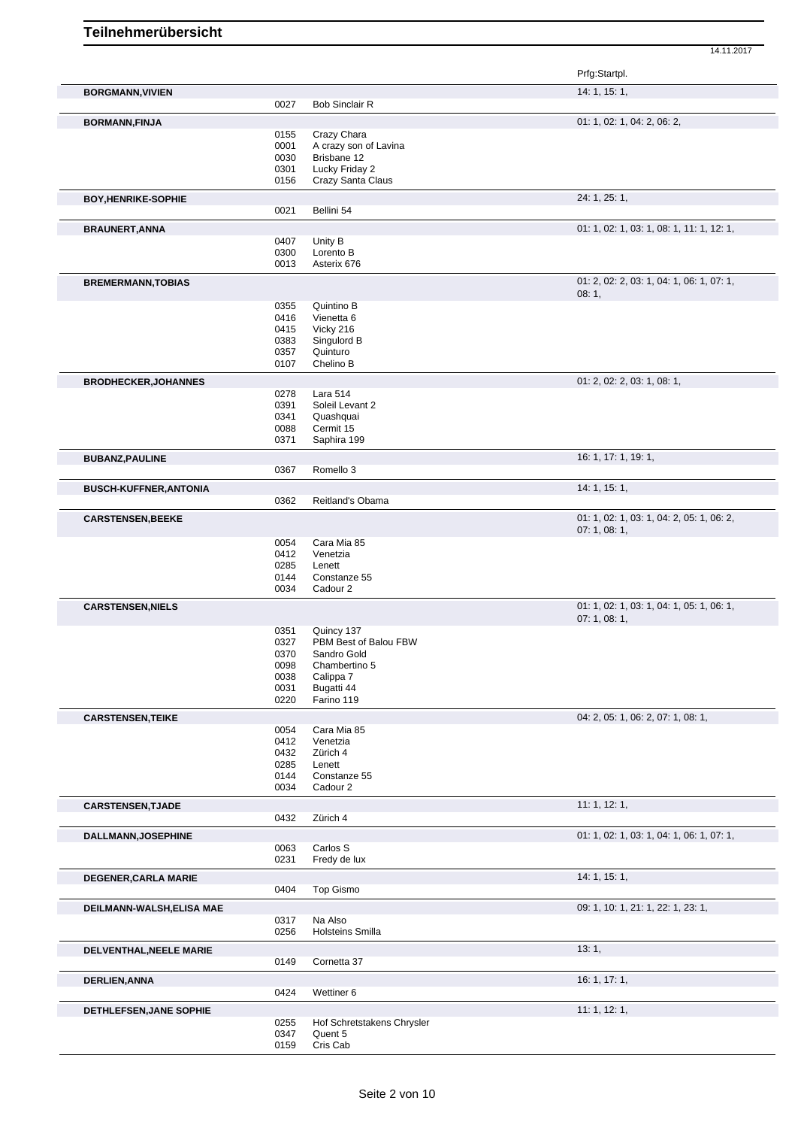|                               |              |                            | Prfg:Startpl.                                           |
|-------------------------------|--------------|----------------------------|---------------------------------------------------------|
| <b>BORGMANN, VIVIEN</b>       |              |                            | 14: 1, 15: 1,                                           |
|                               | 0027         | <b>Bob Sinclair R</b>      |                                                         |
| <b>BORMANN, FINJA</b>         |              |                            | 01: 1, 02: 1, 04: 2, 06: 2,                             |
|                               | 0155         | Crazy Chara                |                                                         |
|                               | 0001         | A crazy son of Lavina      |                                                         |
|                               | 0030         | Brisbane 12                |                                                         |
|                               | 0301         | Lucky Friday 2             |                                                         |
|                               | 0156         | Crazy Santa Claus          |                                                         |
| <b>BOY, HENRIKE-SOPHIE</b>    |              |                            | 24: 1, 25: 1,                                           |
|                               | 0021         | Bellini 54                 |                                                         |
| <b>BRAUNERT, ANNA</b>         |              |                            | 01: 1, 02: 1, 03: 1, 08: 1, 11: 1, 12: 1,               |
|                               | 0407         | Unity B                    |                                                         |
|                               | 0300         | Lorento B                  |                                                         |
|                               | 0013         | Asterix 676                |                                                         |
| <b>BREMERMANN, TOBIAS</b>     |              |                            | 01: 2, 02: 2, 03: 1, 04: 1, 06: 1, 07: 1,               |
|                               |              |                            | 08:1,                                                   |
|                               | 0355         | Quintino B                 |                                                         |
|                               | 0416         | Vienetta 6                 |                                                         |
|                               | 0415         | Vicky 216                  |                                                         |
|                               | 0383         | Singulord B                |                                                         |
|                               | 0357         | Quinturo                   |                                                         |
|                               | 0107         | Chelino B                  |                                                         |
|                               |              |                            | 01: 2, 02: 2, 03: 1, 08: 1,                             |
| <b>BRODHECKER, JOHANNES</b>   | 0278         | Lara 514                   |                                                         |
|                               | 0391         | Soleil Levant 2            |                                                         |
|                               | 0341         | Quashquai                  |                                                         |
|                               |              |                            |                                                         |
|                               | 0088<br>0371 | Cermit 15<br>Saphira 199   |                                                         |
|                               |              |                            |                                                         |
| <b>BUBANZ, PAULINE</b>        | 0367         | Romello 3                  | 16: 1, 17: 1, 19: 1,                                    |
|                               |              |                            |                                                         |
| <b>BUSCH-KUFFNER, ANTONIA</b> | 0362         | Reitland's Obama           | 14: 1, 15: 1,                                           |
|                               |              |                            |                                                         |
| <b>CARSTENSEN, BEEKE</b>      |              |                            | 01: 1, 02: 1, 03: 1, 04: 2, 05: 1, 06: 2,<br>07:1,08:1, |
|                               | 0054         | Cara Mia 85                |                                                         |
|                               | 0412         | Venetzia                   |                                                         |
|                               | 0285         | Lenett                     |                                                         |
|                               | 0144         | Constanze 55               |                                                         |
|                               | 0034         | Cadour 2                   |                                                         |
|                               |              |                            |                                                         |
| <b>CARSTENSEN, NIELS</b>      |              |                            | 01: 1, 02: 1, 03: 1, 04: 1, 05: 1, 06: 1,<br>07:1,08:1, |
|                               | 0351         | Quincy 137                 |                                                         |
|                               | 0327         | PBM Best of Balou FBW      |                                                         |
|                               | 0370         | Sandro Gold                |                                                         |
|                               |              | Chambertino 5              |                                                         |
|                               | 0098         |                            |                                                         |
|                               | 0038         | Calippa 7                  |                                                         |
|                               | 0031<br>0220 | Bugatti 44<br>Farino 119   |                                                         |
|                               |              |                            |                                                         |
| <b>CARSTENSEN, TEIKE</b>      | 0054         | Cara Mia 85                | 04: 2, 05: 1, 06: 2, 07: 1, 08: 1,                      |
|                               | 0412         | Venetzia                   |                                                         |
|                               | 0432         | Zürich 4                   |                                                         |
|                               | 0285         | Lenett                     |                                                         |
|                               | 0144         | Constanze 55               |                                                         |
|                               | 0034         | Cadour 2                   |                                                         |
| <b>CARSTENSEN, TJADE</b>      |              |                            | 11: 1, 12: 1,                                           |
|                               | 0432         | Zürich 4                   |                                                         |
|                               |              |                            |                                                         |
| <b>DALLMANN, JOSEPHINE</b>    | 0063         | Carlos S                   | 01: 1, 02: 1, 03: 1, 04: 1, 06: 1, 07: 1,               |
|                               | 0231         | Fredy de lux               |                                                         |
|                               |              |                            |                                                         |
| <b>DEGENER, CARLA MARIE</b>   |              |                            | 14: 1, 15: 1,                                           |
|                               | 0404         | Top Gismo                  |                                                         |
| DEILMANN-WALSH, ELISA MAE     |              |                            | 09: 1, 10: 1, 21: 1, 22: 1, 23: 1,                      |
|                               | 0317         | Na Also                    |                                                         |
|                               | 0256         | Holsteins Smilla           |                                                         |
| DELVENTHAL, NEELE MARIE       |              |                            | 13:1,                                                   |
|                               | 0149         | Cornetta 37                |                                                         |
| <b>DERLIEN, ANNA</b>          |              |                            | 16: 1, 17: 1,                                           |
|                               | 0424         | Wettiner 6                 |                                                         |
| DETHLEFSEN, JANE SOPHIE       |              |                            | 11: 1, 12: 1,                                           |
|                               | 0255         | Hof Schretstakens Chrysler |                                                         |
|                               | 0347         | Quent 5                    |                                                         |
|                               | 0159         | Cris Cab                   |                                                         |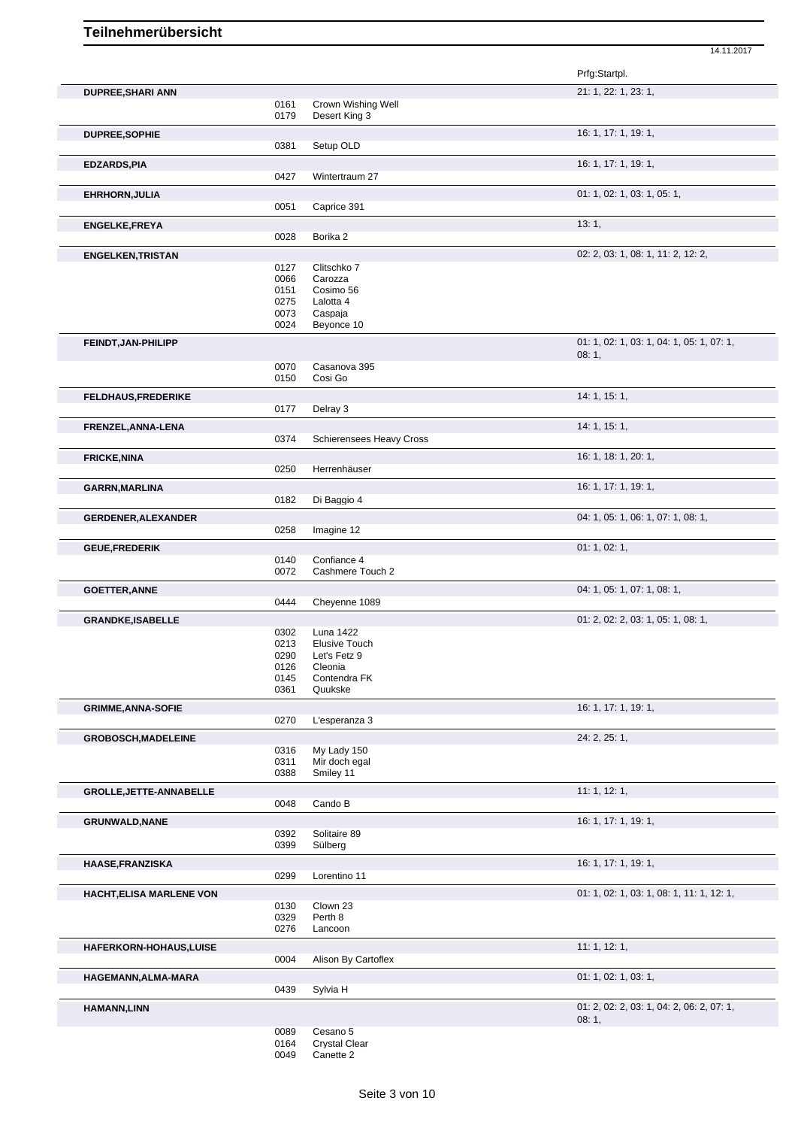Prfg:Startpl. **DUPREE,SHARI ANN** 21: 1, 22: 1, 23: 1, 0161 Crown Wishing Well 0179 Desert King 3 **DUPREE, SOPHIE** 16: 1, 17: 1, 19: 1, 0381 Setup OLD **EDZARDS,PIA** 16: 1, 17: 1, 19: 1, 0427 Wintertraum 27 **EHRHORN, JULIA** 01: 1, 02: 1, 03: 1, 05: 1, 05: 1, 05: 1, 05: 1, 05: 1, 05: 1, 05: 1, 05: 1, 05: 1, 05: 1, 05: 1, 05: 1, 05: 1, 05: 1, 05: 1, 05: 1, 05: 1, 05: 1, 05: 1, 05: 1, 05: 1, 05: 1, 05: 1, 05: 1, 05: 1, 05: 1, 05 Caprice 391 **ENGELKE,FREYA** 13: 1, 20028 Borika 2 Borika 2 **ENGELKEN,TRISTAN** 02: 2, 03: 1, 08: 1, 11: 2, 12: 2, 0127 Clitschko 7<br>0066 Carozza 0066 Carozza<br>0151 Cosimo Cosimo 56 0275 Lalotta 4<br>0073 Caspaia 0073 Caspaja<br>0024 Beyonce Beyonce 10 **FEINDT,JAN-PHILIPP** 01: 1, 02: 1, 03: 1, 04: 1, 05: 1, 07: 1, 08: 1, 0070 Casanova 395 0150 Cosi Go **FELDHAUS,FREDERIKE** 14: 1, 15: 1, 0177 Delray 3 **FRENZEL, ANNA-LENA** 14: 1, 15: 1,<br>
0374 Schierensees Heavy Cross Schierensees Heavy Cross **FRICKE, NINA** 16: 1, 18: 1, 20: 1, 18: 1, 20: 1, 19: 1, 20: 1, 19: 1, 20: 1, 16: 1, 18: 1, 20: 1, 19: 1, 20: 1, Herrenhäuser **GARRN,MARLINA** 16: 1, 17: 1, 19: 1, 19: 1, 19: 1, 19: 1, 19: 1, 19: 1, 19: 1, 19: 1, 19: 1, 19: 1, 19: 1, 19: 1, Di Baggio 4 GERDENER, ALEXANDER **CERDENER, ALEXANDER** 0258 Imagine 12 Imagine 12 **GEUE,FREDERIK 01: 1, 02: 1,** 02: 1, 02: 1, 02: 1, 02: 1, 02: 1, 02: 1, 02: 1, 02: 1, 02: 1, 02: 1, 02: 1, 02: 1, 02: 1, 02: 1, 02: 1, 02: 1, 02: 1, 02: 1, 02: 1, 02: 1, 02: 1, 02: 1, 02: 1, 02: 1, 02: 1, 02: 1, 02: 1, 02: 0140 Confiance 4<br>0072 Cashmere T Cashmere Touch 2 GOETTER, ANNE **COLLECTER, ANNE** 04: 1, 05: 1, 07: 1, 08: 1, 07: 1, 08: 1, 07: 1, 08: 1, 07: 1, 08: 1, Cheyenne 1089 GRANDKE,ISABELLE **CRANDKE,ISABELLE** 0302 Luna 1422 **CRANDKE,ISABELLE** 0302 Luna 1422 0302 Luna 1422<br>0213 Elusive To 0213 Elusive Touch<br>0290 Let's Fetz 9 Let's Fetz 9 0126 Cleonia 0145 Contendra FK<br>0361 Quukske Quukske **GRIMME, ANNA-SOFIE** 16: 1, 17: 1, 19: 1, 0270 L'esperanza 3 **GROBOSCH,MADELEINE** 24: 2, 25: 1, 0316 My Lady 150 0311 Mir doch egal<br>0388 Smiley 11 Smiley 11 **GROLLE, JETTE-ANNABELLE** 11: 1, 12: 1, 0048 Cando B **GRUNWALD,NANE** 16: 1, 17: 1, 19: 1, 0392 Solitaire 89<br>0399 Sülberg Sülberg **HAASE,FRANZISKA** 16: 1, 17: 1, 19: 1, 19: 1, 19: 1, 19: 1, 19: 1, 19: 1, 19: 1, 19: 1, 19: 1, 19: 1, 19: 1, 19: 1, Lorentino 11 **HACHT,ELISA MARLENE VON CON CONSULTER AND RESERVE THE SECOND OF SECOND CONSULTER AND ON A SET OF SECOND OF SECOND CONSULTER AND RESERVE THE SECOND OF SECOND AND RESERVE THE SECOND OF SECOND CONSULTER AND ON A SECOND O** 0130 Clown 23<br>0329 Perth 8 0329 Perth 8<br>0276 Lancoo Lancoon **HAFERKORN-HOHAUS,LUISE** 11: 1, 12: 1, 0004 Alison By Cartoflex **HAGEMANN,ALMA-MARA** 01: 1, 02: 1, 03: 1,<br>
0439 Sylvia H Sylvia H **HAMANN,LINN** 01: 2, 02: 2, 03: 1, 04: 2, 06: 2, 07: 1, 08: 1, 0089 Cesano 5

14.11.2017

0164 Crystal Clear

<sup>0049</sup> Canette 2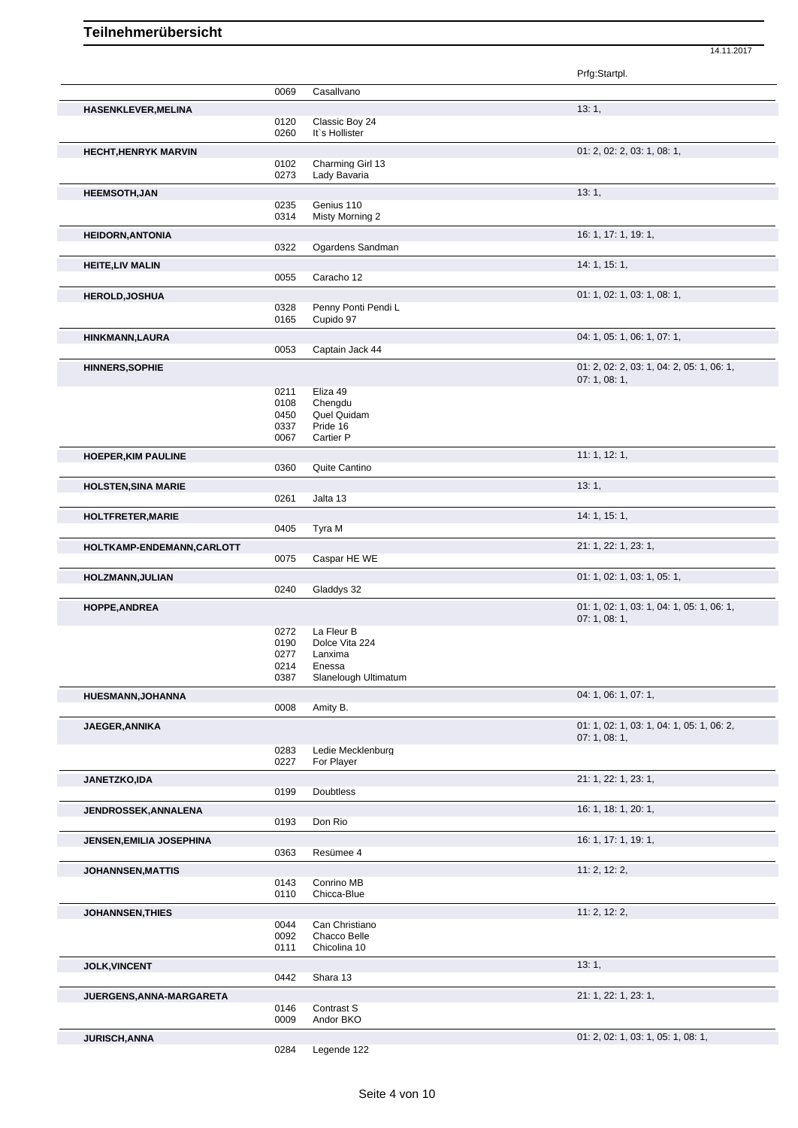|                             |              |                       | Prfg:Startpl.                             |
|-----------------------------|--------------|-----------------------|-------------------------------------------|
|                             | 0069         | Casallvano            |                                           |
| <b>HASENKLEVER, MELINA</b>  |              |                       | 13:1,                                     |
|                             | 0120         | Classic Boy 24        |                                           |
|                             | 0260         | It's Hollister        |                                           |
|                             |              |                       | 01: 2, 02: 2, 03: 1, 08: 1,               |
| <b>HECHT, HENRYK MARVIN</b> | 0102         | Charming Girl 13      |                                           |
|                             | 0273         | Lady Bavaria          |                                           |
|                             |              |                       | 13:1,                                     |
| <b>HEEMSOTH, JAN</b>        | 0235         | Genius 110            |                                           |
|                             | 0314         | Misty Morning 2       |                                           |
|                             |              |                       | 16: 1, 17: 1, 19: 1,                      |
| <b>HEIDORN, ANTONIA</b>     | 0322         | Ogardens Sandman      |                                           |
|                             |              |                       |                                           |
| <b>HEITE, LIV MALIN</b>     |              |                       | 14: 1, 15: 1,                             |
|                             | 0055         | Caracho 12            |                                           |
| <b>HEROLD, JOSHUA</b>       |              |                       | 01: 1, 02: 1, 03: 1, 08: 1,               |
|                             | 0328         | Penny Ponti Pendi L   |                                           |
|                             | 0165         | Cupido 97             |                                           |
| HINKMANN, LAURA             |              |                       | 04: 1, 05: 1, 06: 1, 07: 1,               |
|                             | 0053         | Captain Jack 44       |                                           |
| <b>HINNERS, SOPHIE</b>      |              |                       | 01: 2, 02: 2, 03: 1, 04: 2, 05: 1, 06: 1, |
|                             |              |                       | 07:1,08:1,                                |
|                             | 0211         | Eliza 49              |                                           |
|                             | 0108         | Chengdu               |                                           |
|                             | 0450         | Quel Quidam           |                                           |
|                             | 0337<br>0067 | Pride 16<br>Cartier P |                                           |
|                             |              |                       |                                           |
| <b>HOEPER, KIM PAULINE</b>  |              |                       | 11:1, 12:1,                               |
|                             | 0360         | Quite Cantino         |                                           |
| <b>HOLSTEN, SINA MARIE</b>  |              |                       | 13:1,                                     |
|                             | 0261         | Jalta 13              |                                           |
| <b>HOLTFRETER, MARIE</b>    |              |                       | 14: 1, 15: 1,                             |
|                             | 0405         | Tyra M                |                                           |
| HOLTKAMP-ENDEMANN, CARLOTT  |              |                       | 21: 1, 22: 1, 23: 1,                      |
|                             | 0075         | Caspar HE WE          |                                           |
|                             |              |                       |                                           |
| HOLZMANN, JULIAN            | 0240         |                       | 01: 1, 02: 1, 03: 1, 05: 1,               |
|                             |              | Gladdys 32            |                                           |
| <b>HOPPE, ANDREA</b>        |              |                       | 01: 1, 02: 1, 03: 1, 04: 1, 05: 1, 06: 1, |
|                             | 0272         | La Fleur B            | 07:1,08:1,                                |
|                             | 0190         | Dolce Vita 224        |                                           |
|                             | 0277         | Lanxima               |                                           |
|                             | 0214         | Enessa                |                                           |
|                             | 0387         | Slanelough Ultimatum  |                                           |
| <b>HUESMANN, JOHANNA</b>    |              |                       | 04: 1, 06: 1, 07: 1,                      |
|                             | 0008         | Amity B.              |                                           |
|                             |              |                       | 01: 1, 02: 1, 03: 1, 04: 1, 05: 1, 06: 2, |
| JAEGER, ANNIKA              |              |                       | 07:1,08:1,                                |
|                             | 0283         | Ledie Mecklenburg     |                                           |
|                             | 0227         | For Player            |                                           |
| <b>JANETZKO,IDA</b>         |              |                       | 21: 1, 22: 1, 23: 1,                      |
|                             | 0199         | Doubtless             |                                           |
|                             |              |                       | 16: 1, 18: 1, 20: 1,                      |
| <b>JENDROSSEK, ANNALENA</b> | 0193         | Don Rio               |                                           |
|                             |              |                       |                                           |
| JENSEN, EMILIA JOSEPHINA    |              |                       | 16: 1, 17: 1, 19: 1,                      |
|                             | 0363         | Resümee 4             |                                           |
| <b>JOHANNSEN, MATTIS</b>    |              |                       | 11: 2, 12: 2,                             |
|                             | 0143         | Conrino MB            |                                           |
|                             | 0110         | Chicca-Blue           |                                           |
| <b>JOHANNSEN, THIES</b>     |              |                       | 11: 2, 12: 2,                             |
|                             | 0044         | Can Christiano        |                                           |
|                             | 0092         | Chacco Belle          |                                           |
|                             | 0111         | Chicolina 10          |                                           |
| <b>JOLK, VINCENT</b>        |              |                       | 13:1,                                     |
|                             | 0442         | Shara 13              |                                           |
| JUERGENS, ANNA-MARGARETA    |              |                       | 21: 1, 22: 1, 23: 1,                      |
|                             | 0146         | Contrast S            |                                           |
|                             | 0009         | Andor BKO             |                                           |
| <b>JURISCH, ANNA</b>        |              |                       | 01: 2, 02: 1, 03: 1, 05: 1, 08: 1,        |
|                             | 0284         | Legende 122           |                                           |
|                             |              |                       |                                           |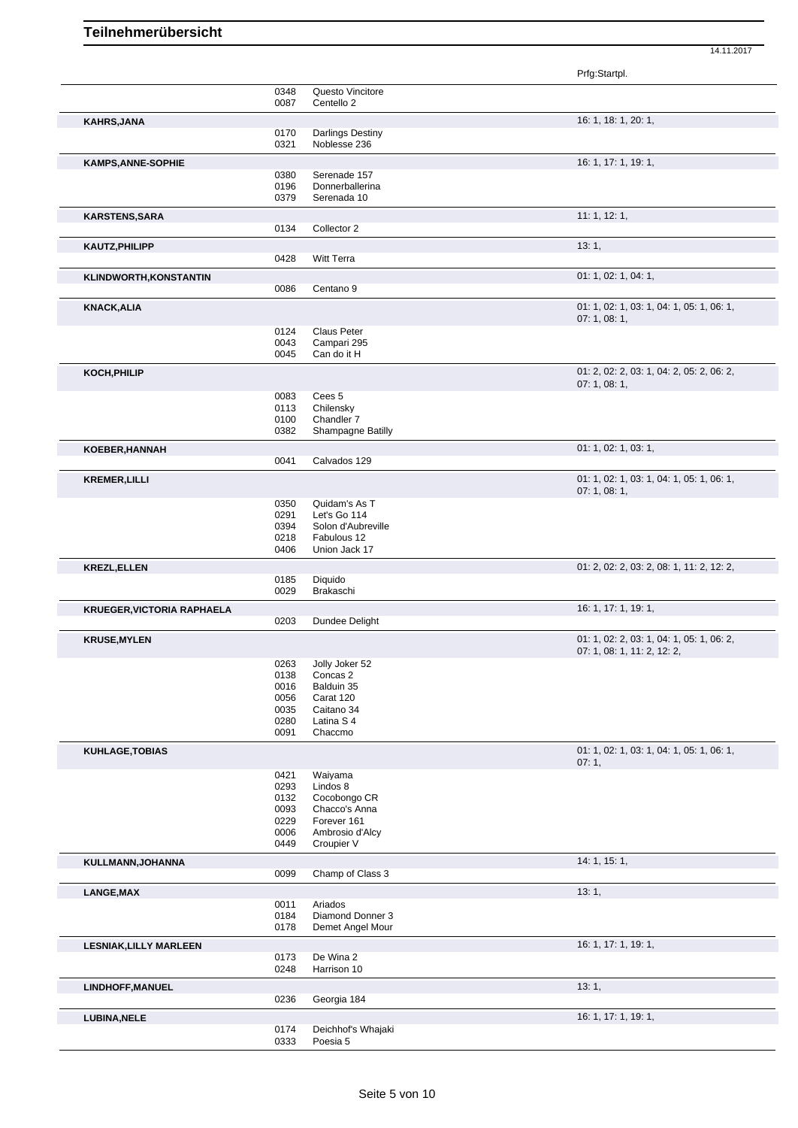Prfg:Startpl. 0348 Questo Vincitore 0087 Centello 2 **KAHRS,JANA** 16: 1, 18: 1, 20: 1, 18: 1, 20: 1, 16: 1, 18: 1, 20: 1, 16: 1, 18: 1, 20: 1, 16: 1, 18: 1, 20: 1, 16: 1, 16: 1, 20: 1, 16: 1, 20: 1, 16: 1, 20: 1, 16: 1, 20: 1, 16: 1, 20: 1, 16: 1, 20: 1, 16: 1, 20: 1, 16: 1, 0170 Darlings Destiny 0321 Noblesse 236 **KAMPS, ANNE-SOPHIE** 16: 1, 17: 1, 19: 1, 0380 Serenade 157 0196 Donnerballerina 0379 Serenada 10 **KARSTENS,SARA** 11: 1, 12: 1, 0134 Collector 2 **KAUTZ, PHILIPP 13: 1, 1999 13: 1, 1999 13: 1, 1999 13: 1, 1999 13: 1, 1999 13: 1, 1999 13: 1, 1999 13: 1, 1999 13: 1, 1999 13: 1, 1999 13: 1, 1999 13: 1, 1999 13: 1, 1999 13: 1, 1999 13: 1, 1999 13: 1, 1999 13: 1, 1999 13** 0428 Witt Terra **KLINDWORTH,KONSTANTIN** 01: 1, 02: 1, 04: 1, 0086 Centano 9 **KNACK,ALIA** 01: 1, 02: 1, 03: 1, 04: 1, 05: 1, 06: 1, 07: 1, 08: 1, 0124 Claus Peter<br>0043 Campari 29 0043 Campari 295<br>0045 Can do it H Can do it H **KOCH,PHILIP** 01: 2, 02: 2, 03: 1, 04: 2, 05: 2, 06: 2, 07: 1, 08: 1, 0083 Cees 5 0113 Chilensky 0100 Chandler 7 0382 Shampagne Batilly **KOEBER,HANNAH** 01: 1, 02: 1, 03: 1, 0041 Calvados 129 **KREMER,LILLI** 01: 1, 02: 1, 03: 1, 04: 1, 05: 1, 06: 1, 07: 1, 08: 1, 0350 Quidam's As T<br>0291 Let's Go 114 0291 Let's Go 114<br>0394 Solon d'Aubre 0394 Solon d'Aubreville<br>0218 Fabulous 12 0218 Fabulous 12<br>0406 Union Jack 1 Union Jack 17 **KREZL,ELLEN** 01: 2, 02: 2, 03: 2, 08: 1, 11: 2, 12: 2, 0185 Diquido<br>0029 Brakaso Brakaschi **KRUEGER, VICTORIA RAPHAELA** 16: 1, 17: 1, 19: 1, 0203 Dundee Delight **KRUSE,MYLEN** 01: 1, 02: 2, 03: 1, 04: 1, 05: 1, 06: 2, 07: 1, 08: 1, 11: 2, 12: 2, 0263 Jolly Joker 52 0138 Concas 2 0016 Balduin 35 0056 Carat 120 0035 Caitano 34<br>0280 Latina S 4 0280 Latina S 4<br>0091 Chaccmo Chaccmo **KUHLAGE,TOBIAS** 01: 1, 02: 1, 03: 1, 04: 1, 05: 1, 06: 1, 07: 1, 0421 Waiyama<br>0293 Lindos 8 0293 Lindos 8<br>0132 Cocobon 0132 Cocobongo CR<br>0093 Chacco's Anna 0093 Chacco's Anna<br>0229 Forever 161 0229 Forever 161<br>0006 Ambrosio d' 0006 Ambrosio d'Alcy<br>0449 Croupier V Croupier V **KULLMANN,JOHANNA** 14: 1, 15: 1, 0099 Champ of Class 3 **LANGE,MAX** 13: 1, 0011 Ariados 0184 Diamond Donner 3 0178 Demet Angel Mour **LESNIAK,LILLY MARLEEN** 16: 1, 17: 1, 19: 1, 0173 De Wina 2 0248 Harrison 10 **LINDHOFF,MANUEL** 13: 1, 2008 **13: 1, 2008** 1, 2008 1, 2008 1, 2008 1, 2008 1, 2008 1, 2008 1, 2008 1, 2008 1, 2008 1, 2008 1, 2008 1, 2008 1, 2008 1, 2008 1, 2008 1, 2008 1, 2008 1, 2008 1, 2008 1, 2008 1, 2008 1, 2008 1, 0236 Georgia 184 **LUBINA,NELE** 16: 1, 17: 1, 19: 1, 0174 Deichhof's Whajaki<br>0333 Poesia 5

14.11.2017

Poesia 5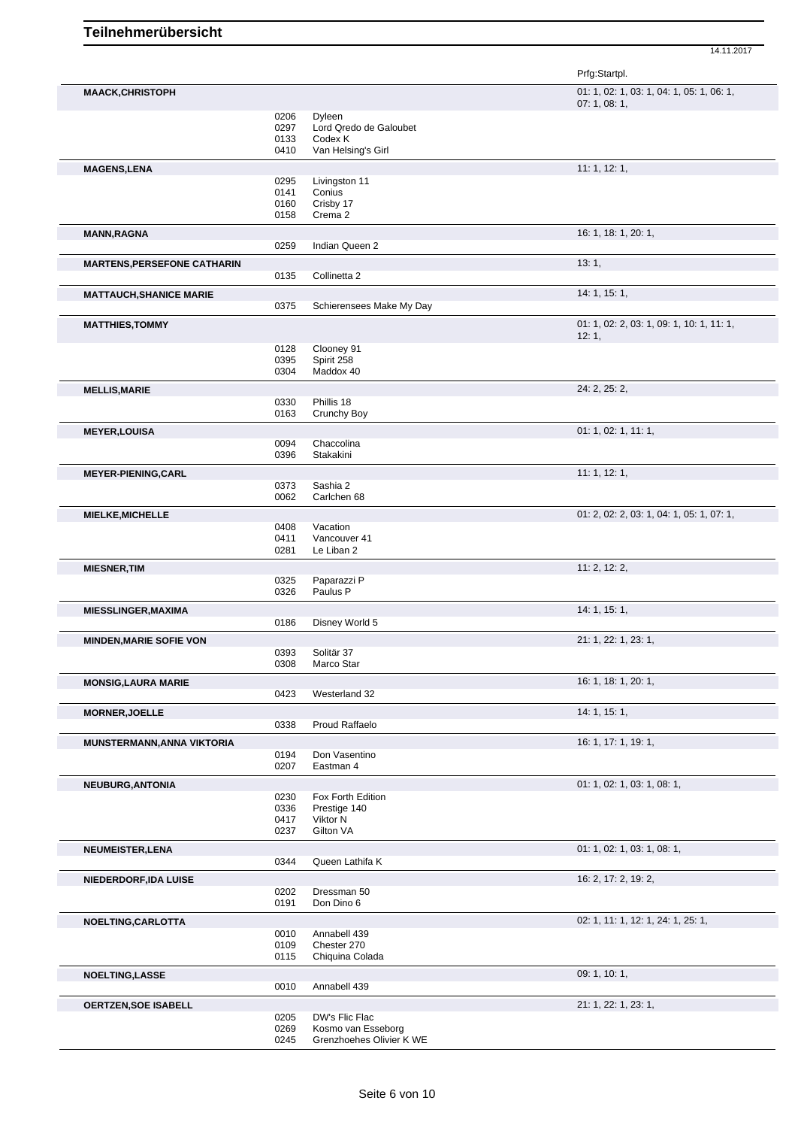|                                    |              |                                                | Prfg:Startpl.                             |
|------------------------------------|--------------|------------------------------------------------|-------------------------------------------|
| <b>MAACK,CHRISTOPH</b>             |              |                                                | 01: 1, 02: 1, 03: 1, 04: 1, 05: 1, 06: 1, |
|                                    |              |                                                | 07: 1, 08: 1,                             |
|                                    | 0206<br>0297 | Dyleen<br>Lord Qredo de Galoubet               |                                           |
|                                    | 0133         | Codex K                                        |                                           |
|                                    | 0410         | Van Helsing's Girl                             |                                           |
| <b>MAGENS,LENA</b>                 |              |                                                | 11: 1, 12: 1,                             |
|                                    | 0295         | Livingston 11                                  |                                           |
|                                    | 0141         | Conius                                         |                                           |
|                                    | 0160         | Crisby 17                                      |                                           |
|                                    | 0158         | Crema 2                                        |                                           |
| <b>MANN, RAGNA</b>                 |              |                                                | 16: 1, 18: 1, 20: 1,                      |
|                                    | 0259         | Indian Queen 2                                 |                                           |
| <b>MARTENS, PERSEFONE CATHARIN</b> |              |                                                | 13:1,                                     |
|                                    | 0135         | Collinetta 2                                   |                                           |
| <b>MATTAUCH, SHANICE MARIE</b>     |              |                                                | 14: 1, 15: 1,                             |
|                                    | 0375         | Schierensees Make My Day                       |                                           |
| <b>MATTHIES, TOMMY</b>             |              |                                                | 01: 1, 02: 2, 03: 1, 09: 1, 10: 1, 11: 1, |
|                                    |              |                                                | 12:1,                                     |
|                                    | 0128<br>0395 | Clooney 91<br>Spirit 258                       |                                           |
|                                    | 0304         | Maddox 40                                      |                                           |
| <b>MELLIS, MARIE</b>               |              |                                                | 24: 2, 25: 2,                             |
|                                    | 0330         | Phillis 18                                     |                                           |
|                                    | 0163         | Crunchy Boy                                    |                                           |
| <b>MEYER, LOUISA</b>               |              |                                                | 01: 1, 02: 1, 11: 1,                      |
|                                    | 0094         | Chaccolina                                     |                                           |
|                                    | 0396         | Stakakini                                      |                                           |
| <b>MEYER-PIENING, CARL</b>         |              |                                                | 11: 1, 12: 1,                             |
|                                    | 0373         | Sashia 2                                       |                                           |
|                                    | 0062         | Carlchen 68                                    |                                           |
| <b>MIELKE, MICHELLE</b>            |              |                                                | 01: 2, 02: 2, 03: 1, 04: 1, 05: 1, 07: 1, |
|                                    | 0408<br>0411 | Vacation<br>Vancouver 41                       |                                           |
|                                    | 0281         | Le Liban 2                                     |                                           |
|                                    |              |                                                |                                           |
| <b>MIESNER, TIM</b>                | 0325         | Paparazzi P                                    | 11: 2, 12: 2,                             |
|                                    | 0326         | Paulus P                                       |                                           |
| <b>MIESSLINGER, MAXIMA</b>         |              |                                                | 14: 1, 15: 1,                             |
|                                    | 0186         | Disney World 5                                 |                                           |
| <b>MINDEN, MARIE SOFIE VON</b>     |              |                                                | 21: 1, 22: 1, 23: 1,                      |
|                                    | 0393         | Solitär 37                                     |                                           |
|                                    | 0308         | Marco Star                                     |                                           |
| <b>MONSIG, LAURA MARIE</b>         |              |                                                | 16: 1, 18: 1, 20: 1,                      |
|                                    | 0423         | Westerland 32                                  |                                           |
| <b>MORNER, JOELLE</b>              |              |                                                | 14: 1, 15: 1,                             |
|                                    | 0338         | Proud Raffaelo                                 |                                           |
| <b>MUNSTERMANN, ANNA VIKTORIA</b>  |              |                                                | 16: 1, 17: 1, 19: 1,                      |
|                                    | 0194         | Don Vasentino                                  |                                           |
|                                    | 0207         | Eastman 4                                      |                                           |
| <b>NEUBURG, ANTONIA</b>            |              |                                                | 01: 1, 02: 1, 03: 1, 08: 1,               |
|                                    | 0230         | Fox Forth Edition                              |                                           |
|                                    | 0336         | Prestige 140                                   |                                           |
|                                    | 0417<br>0237 | Viktor N<br>Gilton VA                          |                                           |
|                                    |              |                                                | 01: 1, 02: 1, 03: 1, 08: 1,               |
| <b>NEUMEISTER, LENA</b>            | 0344         | Queen Lathifa K                                |                                           |
|                                    |              |                                                |                                           |
| NIEDERDORF, IDA LUISE              | 0202         | Dressman 50                                    | 16: 2, 17: 2, 19: 2,                      |
|                                    | 0191         | Don Dino 6                                     |                                           |
| NOELTING, CARLOTTA                 |              |                                                | 02: 1, 11: 1, 12: 1, 24: 1, 25: 1,        |
|                                    | 0010         | Annabell 439                                   |                                           |
|                                    | 0109         | Chester 270                                    |                                           |
|                                    | 0115         | Chiquina Colada                                |                                           |
| <b>NOELTING, LASSE</b>             |              |                                                | 09:1, 10:1,                               |
|                                    | 0010         | Annabell 439                                   |                                           |
| <b>OERTZEN, SOE ISABELL</b>        |              |                                                | 21: 1, 22: 1, 23: 1,                      |
|                                    | 0205         | DW's Flic Flac                                 |                                           |
|                                    | 0269         | Kosmo van Esseborg<br>Grenzhoehes Olivier K WE |                                           |
|                                    | 0245         |                                                |                                           |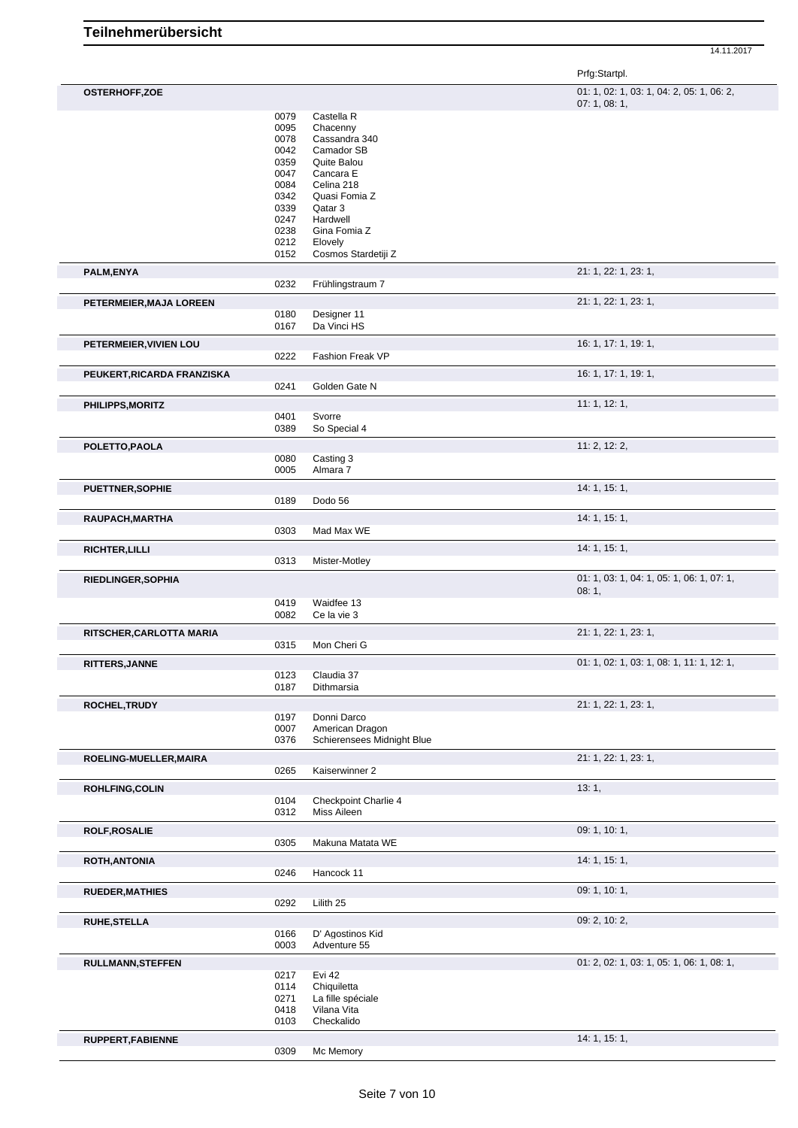14.11.2017

|                            |              |                            | Prfg:Startpl.                                           |
|----------------------------|--------------|----------------------------|---------------------------------------------------------|
| <b>OSTERHOFF,ZOE</b>       |              |                            | 01: 1, 02: 1, 03: 1, 04: 2, 05: 1, 06: 2,<br>07:1,08:1, |
|                            | 0079         | Castella R                 |                                                         |
|                            | 0095<br>0078 | Chacenny<br>Cassandra 340  |                                                         |
|                            | 0042         | Camador SB                 |                                                         |
|                            | 0359         | Quite Balou                |                                                         |
|                            | 0047         | Cancara E                  |                                                         |
|                            | 0084         | Celina 218                 |                                                         |
|                            | 0342         | Quasi Fomia Z              |                                                         |
|                            | 0339<br>0247 | Qatar 3<br>Hardwell        |                                                         |
|                            | 0238         | Gina Fomia Z               |                                                         |
|                            | 0212         | Elovely                    |                                                         |
|                            | 0152         | Cosmos Stardetiji Z        |                                                         |
| PALM, ENYA                 |              |                            | 21: 1, 22: 1, 23: 1,                                    |
|                            | 0232         | Frühlingstraum 7           |                                                         |
| PETERMEIER, MAJA LOREEN    |              |                            | 21: 1, 22: 1, 23: 1,                                    |
|                            | 0180<br>0167 | Designer 11<br>Da Vinci HS |                                                         |
|                            |              |                            |                                                         |
| PETERMEIER, VIVIEN LOU     |              |                            | 16: 1, 17: 1, 19: 1,                                    |
|                            | 0222         | Fashion Freak VP           |                                                         |
| PEUKERT, RICARDA FRANZISKA |              |                            | 16: 1, 17: 1, 19: 1,                                    |
|                            | 0241         | Golden Gate N              |                                                         |
| <b>PHILIPPS, MORITZ</b>    |              |                            | 11:1, 12:1,                                             |
|                            | 0401         | Svorre                     |                                                         |
|                            | 0389         | So Special 4               |                                                         |
| POLETTO, PAOLA             |              |                            | 11: 2, 12: 2,                                           |
|                            | 0080         | Casting 3                  |                                                         |
|                            | 0005         | Almara 7                   |                                                         |
| <b>PUETTNER, SOPHIE</b>    |              |                            | 14: 1, 15: 1,                                           |
|                            | 0189         | Dodo 56                    |                                                         |
| RAUPACH, MARTHA            |              |                            | 14: 1, 15: 1,                                           |
|                            | 0303         | Mad Max WE                 |                                                         |
| RICHTER, LILLI             |              |                            | 14:1, 15:1,                                             |
|                            | 0313         | Mister-Motley              |                                                         |
| RIEDLINGER, SOPHIA         |              |                            | 01: 1, 03: 1, 04: 1, 05: 1, 06: 1, 07: 1,               |
|                            |              |                            | 08:1,                                                   |
|                            | 0419         | Waidfee 13                 |                                                         |
|                            | 0082         | Ce la vie 3                |                                                         |
| RITSCHER, CARLOTTA MARIA   |              |                            | 21: 1, 22: 1, 23: 1,                                    |
|                            | 0315         | Mon Cheri G                |                                                         |
| RITTERS, JANNE             |              |                            | 01: 1, 02: 1, 03: 1, 08: 1, 11: 1, 12: 1,               |
|                            | 0123         | Claudia 37                 |                                                         |
|                            | 0187         | Dithmarsia                 |                                                         |
| ROCHEL, TRUDY              |              |                            | 21: 1, 22: 1, 23: 1,                                    |
|                            | 0197         | Donni Darco                |                                                         |
|                            | 0007         | American Dragon            |                                                         |
|                            | 0376         | Schierensees Midnight Blue |                                                         |
| ROELING-MUELLER, MAIRA     |              |                            | 21: 1, 22: 1, 23: 1,                                    |
|                            | 0265         | Kaiserwinner 2             |                                                         |
| ROHLFING, COLIN            |              |                            | 13:1,                                                   |
|                            | 0104         | Checkpoint Charlie 4       |                                                         |
|                            | 0312         | Miss Aileen                |                                                         |
| <b>ROLF, ROSALIE</b>       |              |                            | 09: 1, 10: 1,                                           |
|                            | 0305         | Makuna Matata WE           |                                                         |
| ROTH, ANTONIA              |              |                            | 14: 1, 15: 1,                                           |
|                            | 0246         | Hancock 11                 |                                                         |
| <b>RUEDER, MATHIES</b>     |              |                            | 09: 1, 10: 1,                                           |
|                            | 0292         | Lilith 25                  |                                                         |
| RUHE, STELLA               |              |                            | 09: 2, 10: 2,                                           |
|                            | 0166         | D' Agostinos Kid           |                                                         |
|                            | 0003         | Adventure 55               |                                                         |
| RULLMANN, STEFFEN          |              |                            | 01: 2, 02: 1, 03: 1, 05: 1, 06: 1, 08: 1,               |
|                            | 0217         | Evi 42                     |                                                         |
|                            | 0114         | Chiquiletta                |                                                         |
|                            | 0271         | La fille spéciale          |                                                         |
|                            | 0418         | Vilana Vita                |                                                         |
|                            | 0103         | Checkalido                 |                                                         |
| RUPPERT, FABIENNE          |              |                            | 14:1, 15:1,                                             |
|                            | 0309         | Mc Memory                  |                                                         |

Mc Memory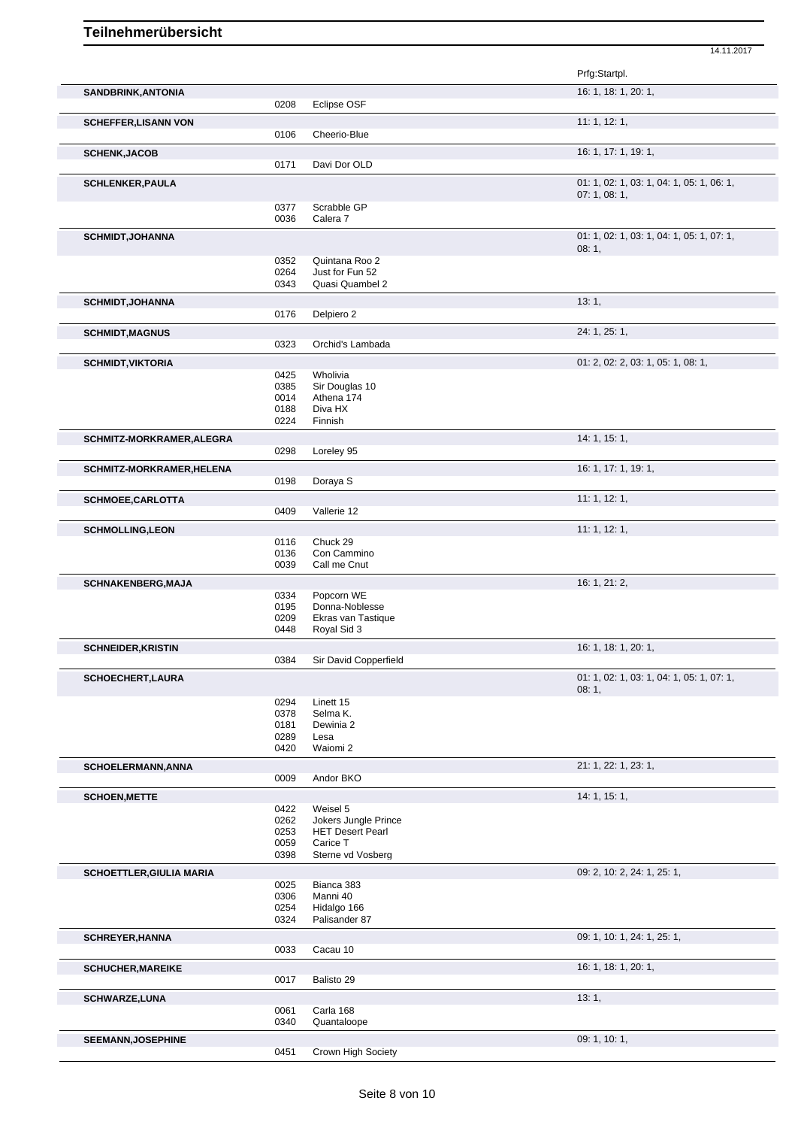|                                 |              |                                      | Prfg:Startpl.                                           |
|---------------------------------|--------------|--------------------------------------|---------------------------------------------------------|
| SANDBRINK, ANTONIA              |              |                                      | 16: 1, 18: 1, 20: 1,                                    |
|                                 | 0208         | Eclipse OSF                          |                                                         |
| <b>SCHEFFER, LISANN VON</b>     |              |                                      | 11:1, 12:1,                                             |
|                                 | 0106         | Cheerio-Blue                         |                                                         |
| <b>SCHENK, JACOB</b>            |              |                                      | 16: 1, 17: 1, 19: 1,                                    |
|                                 | 0171         | Davi Dor OLD                         |                                                         |
| <b>SCHLENKER, PAULA</b>         |              |                                      | 01: 1, 02: 1, 03: 1, 04: 1, 05: 1, 06: 1,<br>07:1,08:1, |
|                                 | 0377         | Scrabble GP                          |                                                         |
|                                 | 0036         | Calera <sub>7</sub>                  |                                                         |
| <b>SCHMIDT, JOHANNA</b>         |              |                                      | 01: 1, 02: 1, 03: 1, 04: 1, 05: 1, 07: 1,               |
|                                 |              |                                      | 08:1,                                                   |
|                                 | 0352<br>0264 | Quintana Roo 2<br>Just for Fun 52    |                                                         |
|                                 | 0343         | Quasi Quambel 2                      |                                                         |
| <b>SCHMIDT, JOHANNA</b>         |              |                                      | 13:1,                                                   |
|                                 | 0176         | Delpiero 2                           |                                                         |
| <b>SCHMIDT, MAGNUS</b>          |              |                                      | 24: 1, 25: 1,                                           |
|                                 | 0323         | Orchid's Lambada                     |                                                         |
| <b>SCHMIDT, VIKTORIA</b>        |              |                                      | 01: 2, 02: 2, 03: 1, 05: 1, 08: 1,                      |
|                                 | 0425<br>0385 | Wholivia<br>Sir Douglas 10           |                                                         |
|                                 | 0014         | Athena 174                           |                                                         |
|                                 | 0188         | Diva HX                              |                                                         |
|                                 | 0224         | Finnish                              |                                                         |
| SCHMITZ-MORKRAMER, ALEGRA       |              |                                      | 14: 1, 15: 1,                                           |
|                                 | 0298         | Loreley 95                           |                                                         |
| SCHMITZ-MORKRAMER, HELENA       | 0198         | Doraya S                             | 16: 1, 17: 1, 19: 1,                                    |
|                                 |              |                                      |                                                         |
| SCHMOEE, CARLOTTA               | 0409         | Vallerie 12                          | 11:1, 12:1,                                             |
|                                 |              |                                      |                                                         |
| <b>SCHMOLLING, LEON</b>         | 0116         | Chuck 29                             | 11:1, 12:1,                                             |
|                                 | 0136         | Con Cammino                          |                                                         |
|                                 | 0039         | Call me Cnut                         |                                                         |
| <b>SCHNAKENBERG, MAJA</b>       |              |                                      | 16: 1, 21: 2,                                           |
|                                 | 0334         | Popcorn WE                           |                                                         |
|                                 | 0195<br>0209 | Donna-Noblesse<br>Ekras van Tastique |                                                         |
|                                 | 0448         | Royal Sid 3                          |                                                         |
| <b>SCHNEIDER, KRISTIN</b>       |              |                                      | 16: 1, 18: 1, 20: 1,                                    |
|                                 | 0384         | Sir David Copperfield                |                                                         |
| <b>SCHOECHERT,LAURA</b>         |              |                                      | 01: 1, 02: 1, 03: 1, 04: 1, 05: 1, 07: 1,               |
|                                 |              |                                      | 08:1,                                                   |
|                                 | 0294<br>0378 | Linett 15<br>Selma K.                |                                                         |
|                                 | 0181         | Dewinia 2                            |                                                         |
|                                 | 0289         | Lesa                                 |                                                         |
|                                 | 0420         | Waiomi 2                             |                                                         |
| SCHOELERMANN, ANNA              | 0009         | Andor BKO                            | 21: 1, 22: 1, 23: 1,                                    |
|                                 |              |                                      |                                                         |
| <b>SCHOEN, METTE</b>            | 0422         | Weisel 5                             | 14: 1, 15: 1,                                           |
|                                 | 0262         | Jokers Jungle Prince                 |                                                         |
|                                 | 0253         | <b>HET Desert Pearl</b>              |                                                         |
|                                 | 0059<br>0398 | Carice T<br>Sterne vd Vosberg        |                                                         |
|                                 |              |                                      |                                                         |
| <b>SCHOETTLER, GIULIA MARIA</b> | 0025         | Bianca 383                           | 09: 2, 10: 2, 24: 1, 25: 1,                             |
|                                 | 0306         | Manni 40                             |                                                         |
|                                 | 0254         | Hidalgo 166                          |                                                         |
|                                 | 0324         | Palisander 87                        |                                                         |
| <b>SCHREYER, HANNA</b>          |              |                                      | 09: 1, 10: 1, 24: 1, 25: 1,                             |
|                                 | 0033         | Cacau 10                             |                                                         |
| <b>SCHUCHER, MAREIKE</b>        | 0017         | Balisto 29                           | 16: 1, 18: 1, 20: 1,                                    |
|                                 |              |                                      |                                                         |
| <b>SCHWARZE,LUNA</b>            | 0061         | Carla 168                            | 13:1,                                                   |
|                                 | 0340         | Quantaloope                          |                                                         |
| <b>SEEMANN, JOSEPHINE</b>       |              |                                      | 09: 1, 10: 1,                                           |
|                                 | 0451         | Crown High Society                   |                                                         |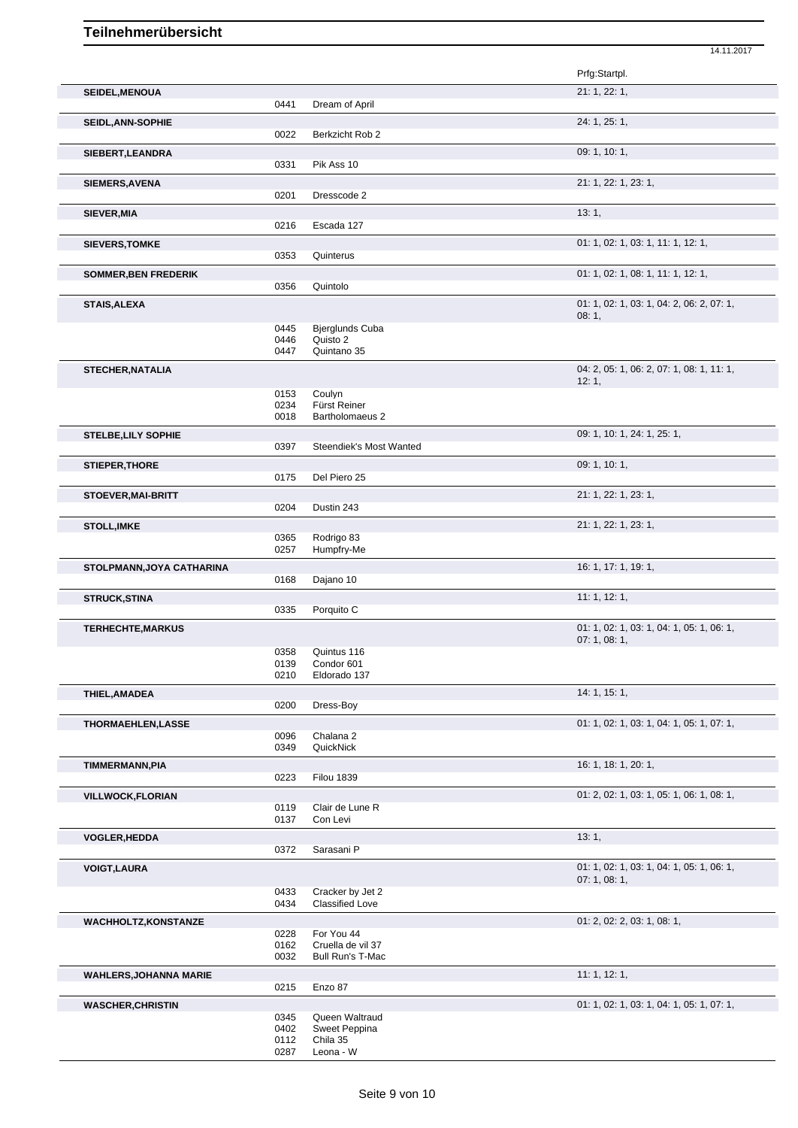|                               |              |                            | Prfg:Startpl.                                      |
|-------------------------------|--------------|----------------------------|----------------------------------------------------|
| SEIDEL, MENOUA                | 0441         | Dream of April             | 21: 1, 22: 1,                                      |
|                               |              |                            | 24: 1, 25: 1,                                      |
| <b>SEIDL, ANN-SOPHIE</b>      | 0022         | Berkzicht Rob 2            |                                                    |
| SIEBERT, LEANDRA              |              |                            | 09: 1, 10: 1,                                      |
|                               | 0331         | Pik Ass 10                 |                                                    |
| SIEMERS, AVENA                |              |                            | 21: 1, 22: 1, 23: 1,                               |
|                               | 0201         | Dresscode 2                |                                                    |
| SIEVER, MIA                   |              |                            | 13:1,                                              |
|                               | 0216         | Escada 127                 |                                                    |
| <b>SIEVERS, TOMKE</b>         | 0353         |                            | 01: 1, 02: 1, 03: 1, 11: 1, 12: 1,                 |
|                               |              | Quinterus                  |                                                    |
| <b>SOMMER, BEN FREDERIK</b>   | 0356         | Quintolo                   | 01: 1, 02: 1, 08: 1, 11: 1, 12: 1,                 |
|                               |              |                            |                                                    |
| <b>STAIS, ALEXA</b>           |              |                            | 01: 1, 02: 1, 03: 1, 04: 2, 06: 2, 07: 1,<br>08:1, |
|                               | 0445         | <b>Bjerglunds Cuba</b>     |                                                    |
|                               | 0446         | Quisto 2                   |                                                    |
|                               | 0447         | Quintano 35                |                                                    |
| <b>STECHER, NATALIA</b>       |              |                            | 04: 2, 05: 1, 06: 2, 07: 1, 08: 1, 11: 1,          |
|                               | 0153         | Coulyn                     | 12:1,                                              |
|                               | 0234         | Fürst Reiner               |                                                    |
|                               | 0018         | Bartholomaeus 2            |                                                    |
| <b>STELBE, LILY SOPHIE</b>    |              |                            | 09: 1, 10: 1, 24: 1, 25: 1,                        |
|                               | 0397         | Steendiek's Most Wanted    |                                                    |
| <b>STIEPER, THORE</b>         |              |                            | 09: 1, 10: 1,                                      |
|                               | 0175         | Del Piero 25               |                                                    |
| <b>STOEVER, MAI-BRITT</b>     |              |                            | 21: 1, 22: 1, 23: 1,                               |
|                               | 0204         | Dustin 243                 |                                                    |
| <b>STOLL, IMKE</b>            |              |                            | 21: 1, 22: 1, 23: 1,                               |
|                               | 0365<br>0257 | Rodrigo 83<br>Humpfry-Me   |                                                    |
| STOLPMANN, JOYA CATHARINA     |              |                            | 16: 1, 17: 1, 19: 1,                               |
|                               | 0168         | Dajano 10                  |                                                    |
| <b>STRUCK, STINA</b>          |              |                            | 11:1, 12:1,                                        |
|                               | 0335         | Porquito C                 |                                                    |
| <b>TERHECHTE, MARKUS</b>      |              |                            | 01: 1, 02: 1, 03: 1, 04: 1, 05: 1, 06: 1,          |
|                               |              |                            | 07:1,08:1,                                         |
|                               | 0358         | Quintus 116                |                                                    |
|                               | 0139<br>0210 | Condor 601<br>Eldorado 137 |                                                    |
|                               |              |                            | 14: 1, 15: 1,                                      |
| THIEL, AMADEA                 | 0200         | Dress-Boy                  |                                                    |
|                               |              |                            | 01: 1, 02: 1, 03: 1, 04: 1, 05: 1, 07: 1,          |
| <b>THORMAEHLEN, LASSE</b>     | 0096         | Chalana 2                  |                                                    |
|                               | 0349         | QuickNick                  |                                                    |
| <b>TIMMERMANN, PIA</b>        |              |                            | 16: 1, 18: 1, 20: 1,                               |
|                               | 0223         | <b>Filou 1839</b>          |                                                    |
| <b>VILLWOCK, FLORIAN</b>      |              |                            | 01: 2, 02: 1, 03: 1, 05: 1, 06: 1, 08: 1,          |
|                               | 0119         | Clair de Lune R            |                                                    |
|                               | 0137         | Con Levi                   |                                                    |
| <b>VOGLER, HEDDA</b>          |              |                            | 13:1,                                              |
|                               | 0372         | Sarasani P                 |                                                    |
| <b>VOIGT, LAURA</b>           |              |                            | 01: 1, 02: 1, 03: 1, 04: 1, 05: 1, 06: 1,          |
|                               | 0433         | Cracker by Jet 2           | 07:1,08:1,                                         |
|                               | 0434         | <b>Classified Love</b>     |                                                    |
| <b>WACHHOLTZ, KONSTANZE</b>   |              |                            | 01: 2, 02: 2, 03: 1, 08: 1,                        |
|                               | 0228         | For You 44                 |                                                    |
|                               | 0162<br>0032 | Cruella de vil 37          |                                                    |
|                               |              | Bull Run's T-Mac           |                                                    |
| <b>WAHLERS, JOHANNA MARIE</b> | 0215         | Enzo 87                    | 11:1, 12:1,                                        |
|                               |              |                            |                                                    |
| <b>WASCHER, CHRISTIN</b>      | 0345         | Queen Waltraud             | 01: 1, 02: 1, 03: 1, 04: 1, 05: 1, 07: 1,          |
|                               | 0402         | Sweet Peppina              |                                                    |
|                               |              |                            |                                                    |

14.11.2017

0287 Leona - W